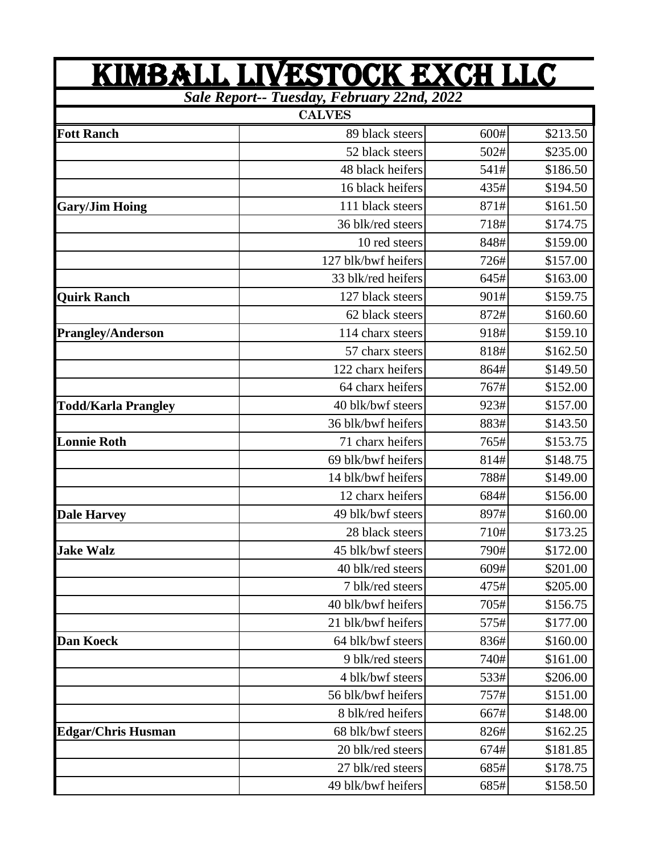| KIMBALL LIVESTOCK EXCH LLC                 |                     |      |          |  |  |  |  |
|--------------------------------------------|---------------------|------|----------|--|--|--|--|
| Sale Report-- Tuesday, February 22nd, 2022 |                     |      |          |  |  |  |  |
|                                            | <b>CALVES</b>       |      |          |  |  |  |  |
| <b>Fott Ranch</b>                          | 89 black steers     | 600# | \$213.50 |  |  |  |  |
|                                            | 52 black steers     | 502# | \$235.00 |  |  |  |  |
|                                            | 48 black heifers    | 541# | \$186.50 |  |  |  |  |
|                                            | 16 black heifers    | 435# | \$194.50 |  |  |  |  |
| <b>Gary/Jim Hoing</b>                      | 111 black steers    | 871# | \$161.50 |  |  |  |  |
|                                            | 36 blk/red steers   | 718# | \$174.75 |  |  |  |  |
|                                            | 10 red steers       | 848# | \$159.00 |  |  |  |  |
|                                            | 127 blk/bwf heifers | 726# | \$157.00 |  |  |  |  |
|                                            | 33 blk/red heifers  | 645# | \$163.00 |  |  |  |  |
| <b>Quirk Ranch</b>                         | 127 black steers    | 901# | \$159.75 |  |  |  |  |
|                                            | 62 black steers     | 872# | \$160.60 |  |  |  |  |
| Prangley/Anderson                          | 114 charx steers    | 918# | \$159.10 |  |  |  |  |
|                                            | 57 charx steers     | 818# | \$162.50 |  |  |  |  |
|                                            | 122 charx heifers   | 864# | \$149.50 |  |  |  |  |
|                                            | 64 charx heifers    | 767# | \$152.00 |  |  |  |  |
| <b>Todd/Karla Prangley</b>                 | 40 blk/bwf steers   | 923# | \$157.00 |  |  |  |  |
|                                            | 36 blk/bwf heifers  | 883# | \$143.50 |  |  |  |  |
| <b>Lonnie Roth</b>                         | 71 charx heifers    | 765# | \$153.75 |  |  |  |  |
|                                            | 69 blk/bwf heifers  | 814# | \$148.75 |  |  |  |  |
|                                            | 14 blk/bwf heifers  | 788# | \$149.00 |  |  |  |  |
|                                            | 12 charx heifers    | 684# | \$156.00 |  |  |  |  |
| <b>Dale Harvey</b>                         | 49 blk/bwf steers   | 897# | \$160.00 |  |  |  |  |
|                                            | 28 black steers     | 710# | \$173.25 |  |  |  |  |
| <b>Jake Walz</b>                           | 45 blk/bwf steers   | 790# | \$172.00 |  |  |  |  |
|                                            | 40 blk/red steers   | 609# | \$201.00 |  |  |  |  |
|                                            | 7 blk/red steers    | 475# | \$205.00 |  |  |  |  |
|                                            | 40 blk/bwf heifers  | 705# | \$156.75 |  |  |  |  |
|                                            | 21 blk/bwf heifers  | 575# | \$177.00 |  |  |  |  |
| <b>Dan Koeck</b>                           | 64 blk/bwf steers   | 836# | \$160.00 |  |  |  |  |
|                                            | 9 blk/red steers    | 740# | \$161.00 |  |  |  |  |
|                                            | 4 blk/bwf steers    | 533# | \$206.00 |  |  |  |  |
|                                            | 56 blk/bwf heifers  | 757# | \$151.00 |  |  |  |  |
|                                            | 8 blk/red heifers   | 667# | \$148.00 |  |  |  |  |
| <b>Edgar/Chris Husman</b>                  | 68 blk/bwf steers   | 826# | \$162.25 |  |  |  |  |
|                                            | 20 blk/red steers   | 674# | \$181.85 |  |  |  |  |
|                                            | 27 blk/red steers   | 685# | \$178.75 |  |  |  |  |
|                                            | 49 blk/bwf heifers  | 685# | \$158.50 |  |  |  |  |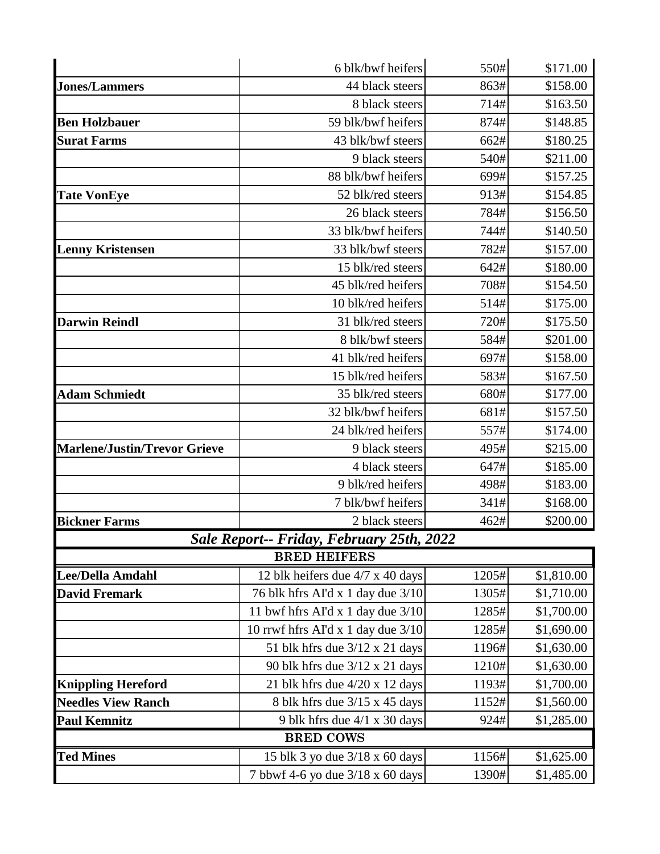|                                     | 550#<br>6 blk/bwf heifers                 |       | \$171.00   |  |  |  |
|-------------------------------------|-------------------------------------------|-------|------------|--|--|--|
| <b>Jones/Lammers</b>                | 44 black steers                           | 863#  | \$158.00   |  |  |  |
|                                     | 8 black steers                            | 714#  | \$163.50   |  |  |  |
| <b>Ben Holzbauer</b>                | 59 blk/bwf heifers                        | 874#  | \$148.85   |  |  |  |
| <b>Surat Farms</b>                  | 43 blk/bwf steers                         | 662#  | \$180.25   |  |  |  |
|                                     | 9 black steers                            | 540#  | \$211.00   |  |  |  |
|                                     | 88 blk/bwf heifers                        | 699#  | \$157.25   |  |  |  |
| <b>Tate VonEye</b>                  | 52 blk/red steers                         | 913#  | \$154.85   |  |  |  |
|                                     | 26 black steers                           | 784#  | \$156.50   |  |  |  |
|                                     | 33 blk/bwf heifers                        | 744#  | \$140.50   |  |  |  |
| <b>Lenny Kristensen</b>             | 33 blk/bwf steers                         | 782#  | \$157.00   |  |  |  |
|                                     | 15 blk/red steers                         | 642#  | \$180.00   |  |  |  |
|                                     | 45 blk/red heifers                        | 708#  | \$154.50   |  |  |  |
|                                     | 10 blk/red heifers                        | 514#  | \$175.00   |  |  |  |
| <b>Darwin Reindl</b>                | 31 blk/red steers                         | 720#  | \$175.50   |  |  |  |
|                                     | 8 blk/bwf steers                          | 584#  | \$201.00   |  |  |  |
|                                     | 41 blk/red heifers                        | 697#  | \$158.00   |  |  |  |
|                                     | 15 blk/red heifers                        | 583#  | \$167.50   |  |  |  |
| <b>Adam Schmiedt</b>                | 35 blk/red steers                         | 680#  | \$177.00   |  |  |  |
|                                     | 32 blk/bwf heifers                        | 681#  | \$157.50   |  |  |  |
|                                     | 24 blk/red heifers                        | 557#  | \$174.00   |  |  |  |
| <b>Marlene/Justin/Trevor Grieve</b> | 9 black steers                            | 495#  | \$215.00   |  |  |  |
|                                     | 4 black steers                            | 647#  | \$185.00   |  |  |  |
|                                     | 9 blk/red heifers                         | 498#  | \$183.00   |  |  |  |
|                                     | 7 blk/bwf heifers                         | 341#  | \$168.00   |  |  |  |
| <b>Bickner Farms</b>                | 2 black steers                            | 462#  | \$200.00   |  |  |  |
|                                     | Sale Report-- Friday, February 25th, 2022 |       |            |  |  |  |
|                                     | <b>BRED HEIFERS</b>                       |       |            |  |  |  |
| <b>Lee/Della Amdahl</b>             | 12 blk heifers due 4/7 x 40 days          | 1205# | \$1,810.00 |  |  |  |
| <b>David Fremark</b>                | 76 blk hfrs AI'd x 1 day due 3/10         | 1305# | \$1,710.00 |  |  |  |
|                                     | 11 bwf hfrs AI'd x 1 day due $3/10$       | 1285# | \$1,700.00 |  |  |  |
|                                     | 10 rrwf hfrs AI'd x 1 day due $3/10$      | 1285# | \$1,690.00 |  |  |  |
|                                     | 51 blk hfrs due $3/12 \times 21$ days     | 1196# | \$1,630.00 |  |  |  |
|                                     | 90 blk hfrs due $3/12 \times 21$ days     | 1210# | \$1,630.00 |  |  |  |
| <b>Knippling Hereford</b>           | 21 blk hfrs due 4/20 x 12 days            | 1193# | \$1,700.00 |  |  |  |
| <b>Needles View Ranch</b>           | 8 blk hfrs due 3/15 x 45 days             | 1152# | \$1,560.00 |  |  |  |
| <b>Paul Kemnitz</b>                 | 9 blk hfrs due 4/1 x 30 days              | 924#  | \$1,285.00 |  |  |  |
| <b>BRED COWS</b>                    |                                           |       |            |  |  |  |
| <b>Ted Mines</b>                    | 15 blk 3 yo due 3/18 x 60 days            | 1156# | \$1,625.00 |  |  |  |
|                                     | 7 bbwf 4-6 yo due 3/18 x 60 days          | 1390# | \$1,485.00 |  |  |  |